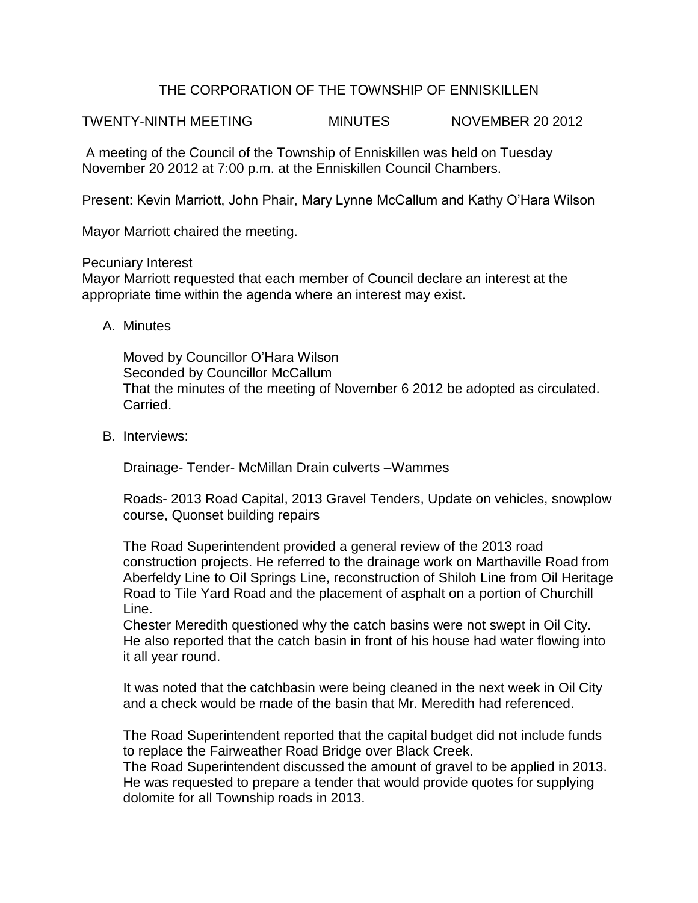## THE CORPORATION OF THE TOWNSHIP OF ENNISKILLEN

TWENTY-NINTH MEETING MINUTES NOVEMBER 20 2012

A meeting of the Council of the Township of Enniskillen was held on Tuesday November 20 2012 at 7:00 p.m. at the Enniskillen Council Chambers.

Present: Kevin Marriott, John Phair, Mary Lynne McCallum and Kathy O'Hara Wilson

Mayor Marriott chaired the meeting.

Pecuniary Interest

Mayor Marriott requested that each member of Council declare an interest at the appropriate time within the agenda where an interest may exist.

A. Minutes

Moved by Councillor O'Hara Wilson Seconded by Councillor McCallum That the minutes of the meeting of November 6 2012 be adopted as circulated. Carried.

B. Interviews:

Drainage- Tender- McMillan Drain culverts –Wammes

Roads- 2013 Road Capital, 2013 Gravel Tenders, Update on vehicles, snowplow course, Quonset building repairs

The Road Superintendent provided a general review of the 2013 road construction projects. He referred to the drainage work on Marthaville Road from Aberfeldy Line to Oil Springs Line, reconstruction of Shiloh Line from Oil Heritage Road to Tile Yard Road and the placement of asphalt on a portion of Churchill Line.

Chester Meredith questioned why the catch basins were not swept in Oil City. He also reported that the catch basin in front of his house had water flowing into it all year round.

It was noted that the catchbasin were being cleaned in the next week in Oil City and a check would be made of the basin that Mr. Meredith had referenced.

The Road Superintendent reported that the capital budget did not include funds to replace the Fairweather Road Bridge over Black Creek.

The Road Superintendent discussed the amount of gravel to be applied in 2013. He was requested to prepare a tender that would provide quotes for supplying dolomite for all Township roads in 2013.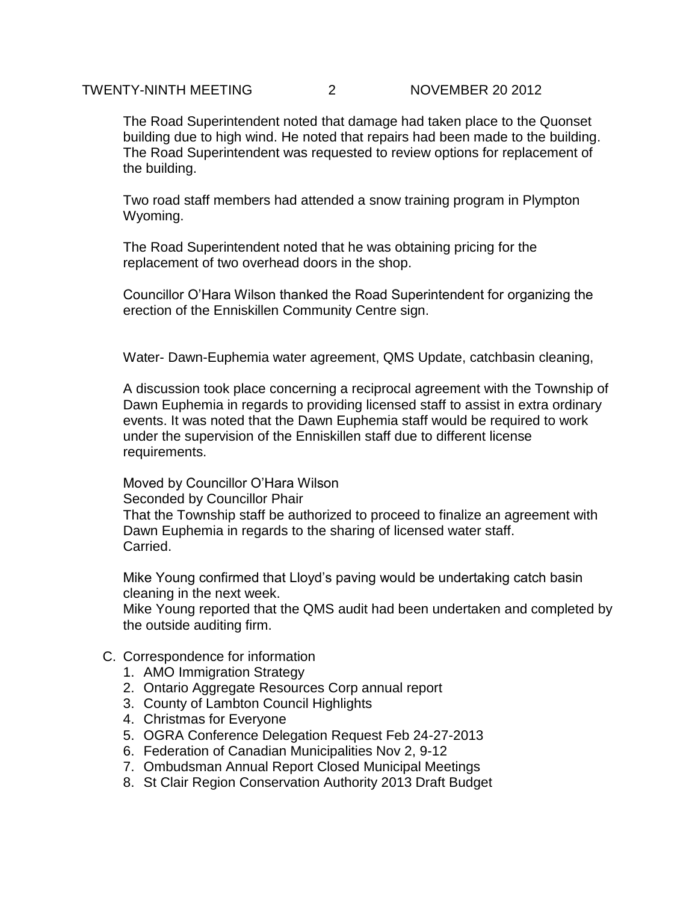The Road Superintendent noted that damage had taken place to the Quonset building due to high wind. He noted that repairs had been made to the building. The Road Superintendent was requested to review options for replacement of the building.

Two road staff members had attended a snow training program in Plympton Wyoming.

The Road Superintendent noted that he was obtaining pricing for the replacement of two overhead doors in the shop.

Councillor O'Hara Wilson thanked the Road Superintendent for organizing the erection of the Enniskillen Community Centre sign.

Water- Dawn-Euphemia water agreement, QMS Update, catchbasin cleaning,

A discussion took place concerning a reciprocal agreement with the Township of Dawn Euphemia in regards to providing licensed staff to assist in extra ordinary events. It was noted that the Dawn Euphemia staff would be required to work under the supervision of the Enniskillen staff due to different license requirements.

Moved by Councillor O'Hara Wilson Seconded by Councillor Phair That the Township staff be authorized to proceed to finalize an agreement with Dawn Euphemia in regards to the sharing of licensed water staff. Carried.

Mike Young confirmed that Lloyd's paving would be undertaking catch basin cleaning in the next week.

Mike Young reported that the QMS audit had been undertaken and completed by the outside auditing firm.

- C. Correspondence for information
	- 1. AMO Immigration Strategy
	- 2. Ontario Aggregate Resources Corp annual report
	- 3. County of Lambton Council Highlights
	- 4. Christmas for Everyone
	- 5. OGRA Conference Delegation Request Feb 24-27-2013
	- 6. Federation of Canadian Municipalities Nov 2, 9-12
	- 7. Ombudsman Annual Report Closed Municipal Meetings
	- 8. St Clair Region Conservation Authority 2013 Draft Budget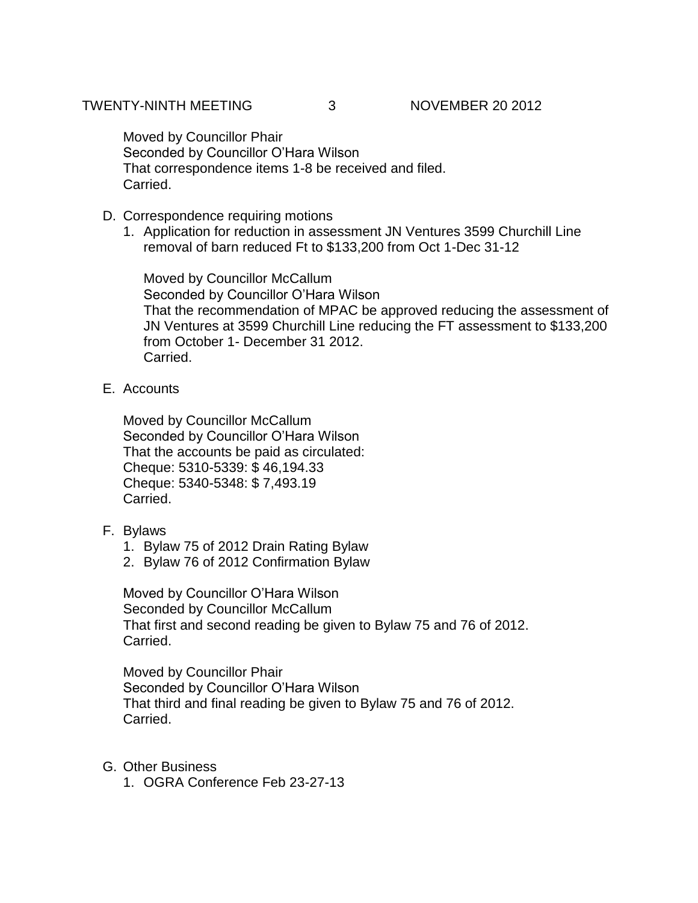Moved by Councillor Phair Seconded by Councillor O'Hara Wilson That correspondence items 1-8 be received and filed. Carried.

- D. Correspondence requiring motions
	- 1. Application for reduction in assessment JN Ventures 3599 Churchill Line removal of barn reduced Ft to \$133,200 from Oct 1-Dec 31-12

Moved by Councillor McCallum Seconded by Councillor O'Hara Wilson That the recommendation of MPAC be approved reducing the assessment of JN Ventures at 3599 Churchill Line reducing the FT assessment to \$133,200 from October 1- December 31 2012. Carried.

E. Accounts

Moved by Councillor McCallum Seconded by Councillor O'Hara Wilson That the accounts be paid as circulated: Cheque: 5310-5339: \$ 46,194.33 Cheque: 5340-5348: \$ 7,493.19 Carried.

- F. Bylaws
	- 1. Bylaw 75 of 2012 Drain Rating Bylaw
	- 2. Bylaw 76 of 2012 Confirmation Bylaw

Moved by Councillor O'Hara Wilson Seconded by Councillor McCallum That first and second reading be given to Bylaw 75 and 76 of 2012. Carried.

Moved by Councillor Phair Seconded by Councillor O'Hara Wilson That third and final reading be given to Bylaw 75 and 76 of 2012. Carried.

- G. Other Business
	- 1. OGRA Conference Feb 23-27-13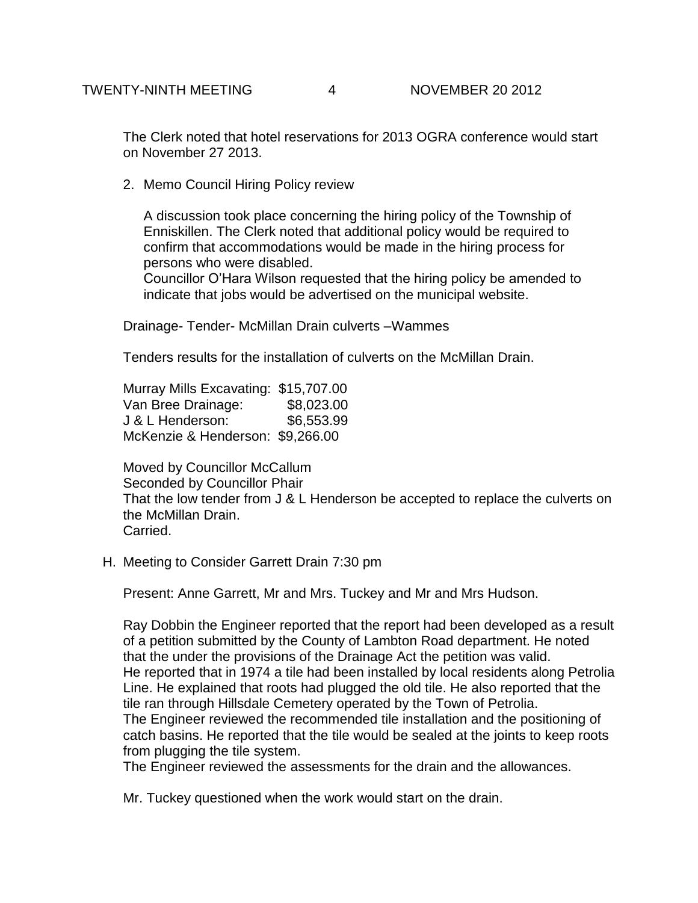The Clerk noted that hotel reservations for 2013 OGRA conference would start on November 27 2013.

2. Memo Council Hiring Policy review

A discussion took place concerning the hiring policy of the Township of Enniskillen. The Clerk noted that additional policy would be required to confirm that accommodations would be made in the hiring process for persons who were disabled.

Councillor O'Hara Wilson requested that the hiring policy be amended to indicate that jobs would be advertised on the municipal website.

Drainage- Tender- McMillan Drain culverts –Wammes

Tenders results for the installation of culverts on the McMillan Drain.

Murray Mills Excavating: \$15,707.00 Van Bree Drainage: \$8,023.00 J & L Henderson: \$6,553.99 McKenzie & Henderson: \$9,266.00

Moved by Councillor McCallum Seconded by Councillor Phair That the low tender from J & L Henderson be accepted to replace the culverts on the McMillan Drain. Carried.

H. Meeting to Consider Garrett Drain 7:30 pm

Present: Anne Garrett, Mr and Mrs. Tuckey and Mr and Mrs Hudson.

Ray Dobbin the Engineer reported that the report had been developed as a result of a petition submitted by the County of Lambton Road department. He noted that the under the provisions of the Drainage Act the petition was valid. He reported that in 1974 a tile had been installed by local residents along Petrolia Line. He explained that roots had plugged the old tile. He also reported that the tile ran through Hillsdale Cemetery operated by the Town of Petrolia. The Engineer reviewed the recommended tile installation and the positioning of catch basins. He reported that the tile would be sealed at the joints to keep roots from plugging the tile system.

The Engineer reviewed the assessments for the drain and the allowances.

Mr. Tuckey questioned when the work would start on the drain.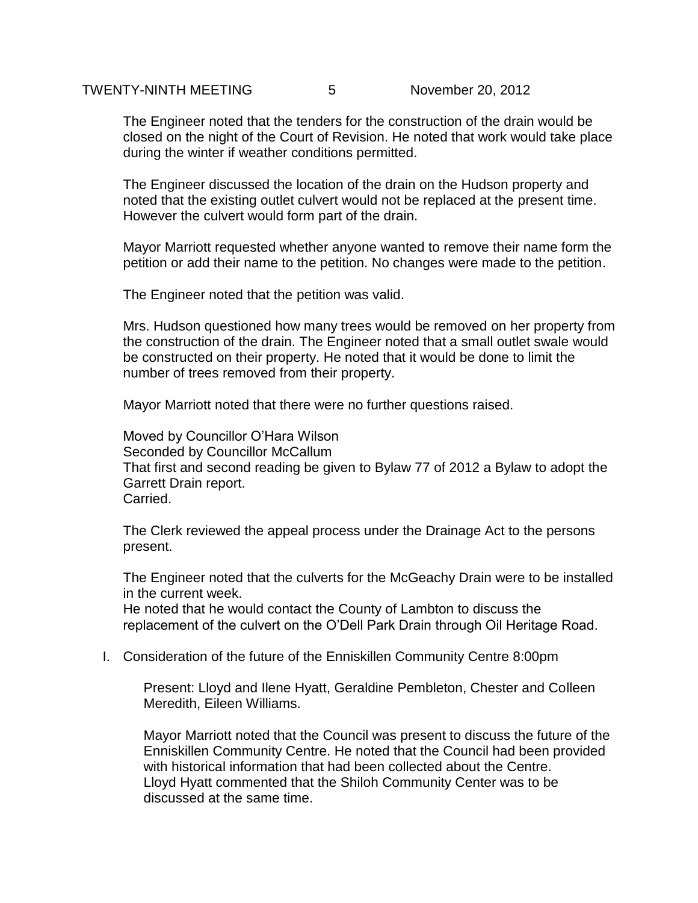The Engineer noted that the tenders for the construction of the drain would be closed on the night of the Court of Revision. He noted that work would take place during the winter if weather conditions permitted.

The Engineer discussed the location of the drain on the Hudson property and noted that the existing outlet culvert would not be replaced at the present time. However the culvert would form part of the drain.

Mayor Marriott requested whether anyone wanted to remove their name form the petition or add their name to the petition. No changes were made to the petition.

The Engineer noted that the petition was valid.

Mrs. Hudson questioned how many trees would be removed on her property from the construction of the drain. The Engineer noted that a small outlet swale would be constructed on their property. He noted that it would be done to limit the number of trees removed from their property.

Mayor Marriott noted that there were no further questions raised.

Moved by Councillor O'Hara Wilson Seconded by Councillor McCallum That first and second reading be given to Bylaw 77 of 2012 a Bylaw to adopt the Garrett Drain report. Carried.

The Clerk reviewed the appeal process under the Drainage Act to the persons present.

The Engineer noted that the culverts for the McGeachy Drain were to be installed in the current week.

He noted that he would contact the County of Lambton to discuss the replacement of the culvert on the O'Dell Park Drain through Oil Heritage Road.

I. Consideration of the future of the Enniskillen Community Centre 8:00pm

Present: Lloyd and Ilene Hyatt, Geraldine Pembleton, Chester and Colleen Meredith, Eileen Williams.

Mayor Marriott noted that the Council was present to discuss the future of the Enniskillen Community Centre. He noted that the Council had been provided with historical information that had been collected about the Centre. Lloyd Hyatt commented that the Shiloh Community Center was to be discussed at the same time.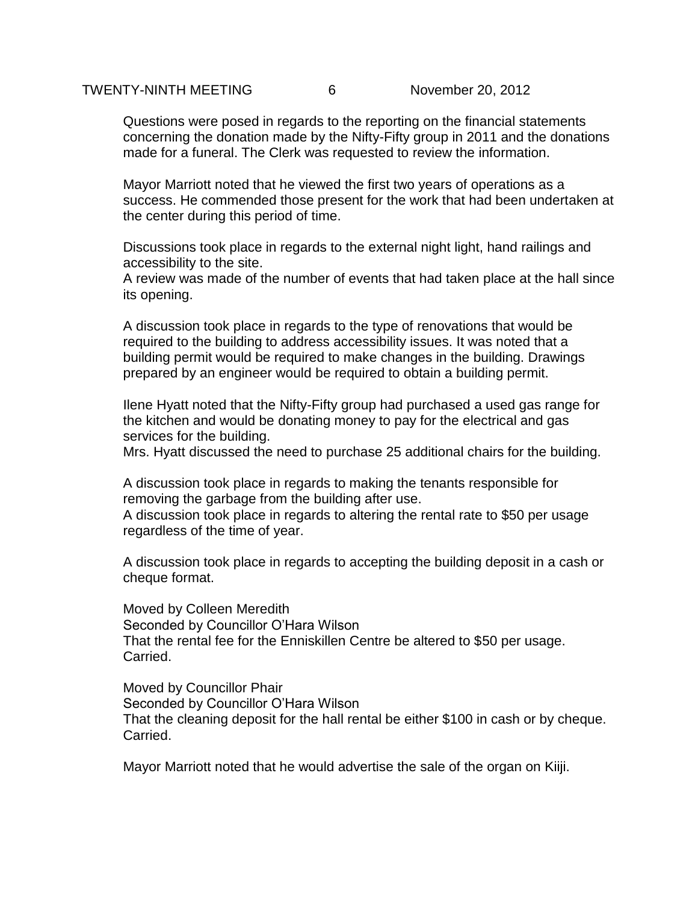Questions were posed in regards to the reporting on the financial statements concerning the donation made by the Nifty-Fifty group in 2011 and the donations made for a funeral. The Clerk was requested to review the information.

Mayor Marriott noted that he viewed the first two years of operations as a success. He commended those present for the work that had been undertaken at the center during this period of time.

Discussions took place in regards to the external night light, hand railings and accessibility to the site.

A review was made of the number of events that had taken place at the hall since its opening.

A discussion took place in regards to the type of renovations that would be required to the building to address accessibility issues. It was noted that a building permit would be required to make changes in the building. Drawings prepared by an engineer would be required to obtain a building permit.

Ilene Hyatt noted that the Nifty-Fifty group had purchased a used gas range for the kitchen and would be donating money to pay for the electrical and gas services for the building.

Mrs. Hyatt discussed the need to purchase 25 additional chairs for the building.

A discussion took place in regards to making the tenants responsible for removing the garbage from the building after use.

A discussion took place in regards to altering the rental rate to \$50 per usage regardless of the time of year.

A discussion took place in regards to accepting the building deposit in a cash or cheque format.

Moved by Colleen Meredith Seconded by Councillor O'Hara Wilson That the rental fee for the Enniskillen Centre be altered to \$50 per usage. Carried.

Moved by Councillor Phair Seconded by Councillor O'Hara Wilson That the cleaning deposit for the hall rental be either \$100 in cash or by cheque. Carried.

Mayor Marriott noted that he would advertise the sale of the organ on Kiiji.